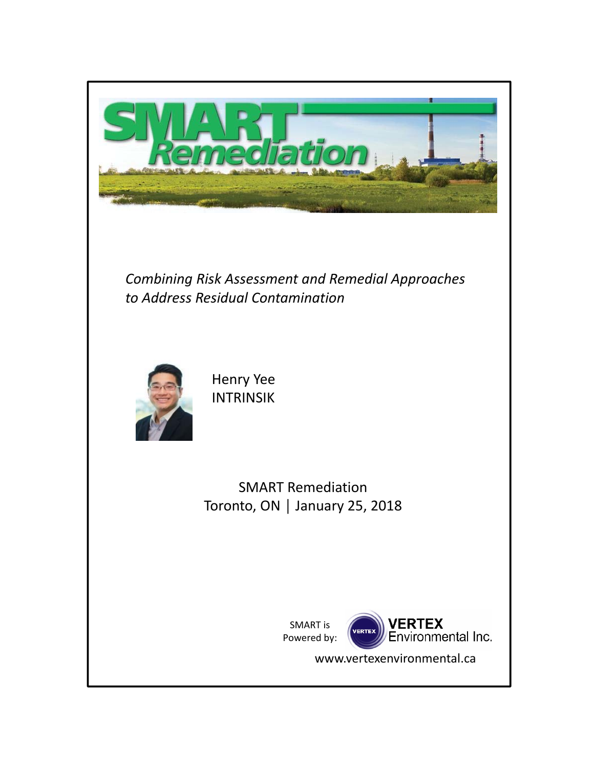

*Combining Risk Assessment and Remedial Approaches to Address Residual Contamination*



Henry Yee INTRINSIK

SMART Remediation Toronto, ON │ January 25, 2018

> SMART is Powered by:



www.vertexenvironmental.ca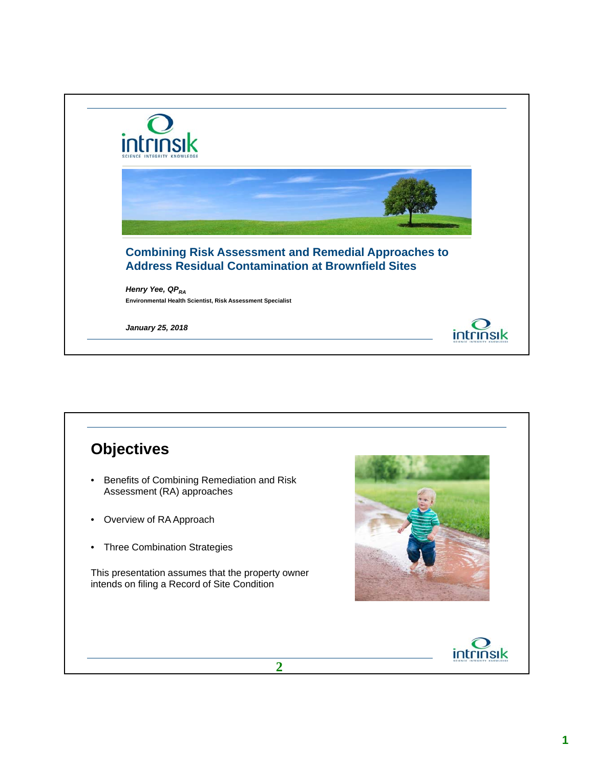

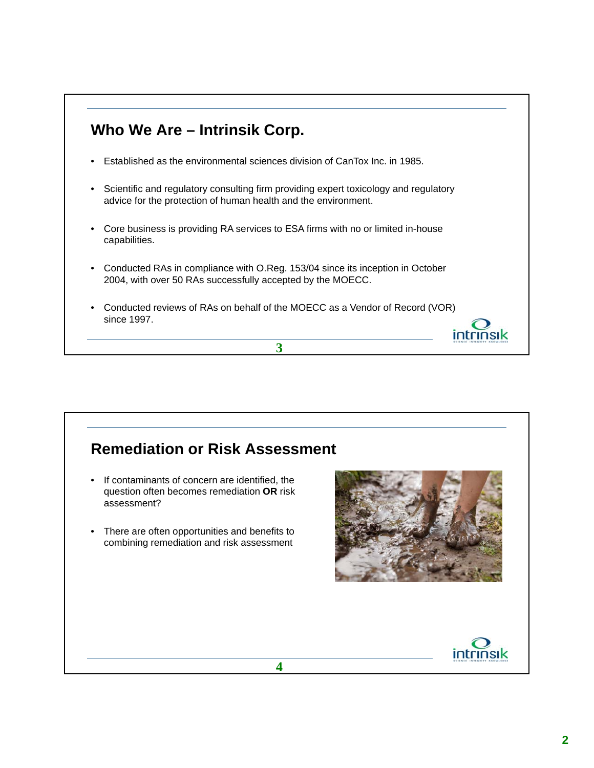### **Who We Are – Intrinsik Corp.**

- Established as the environmental sciences division of CanTox Inc. in 1985.
- Scientific and regulatory consulting firm providing expert toxicology and regulatory advice for the protection of human health and the environment.
- Core business is providing RA services to ESA firms with no or limited in-house capabilities.
- Conducted RAs in compliance with O.Reg. 153/04 since its inception in October 2004, with over 50 RAs successfully accepted by the MOECC.
- Conducted reviews of RAs on behalf of the MOECC as a Vendor of Record (VOR) since 1997.

**3**



intrinsik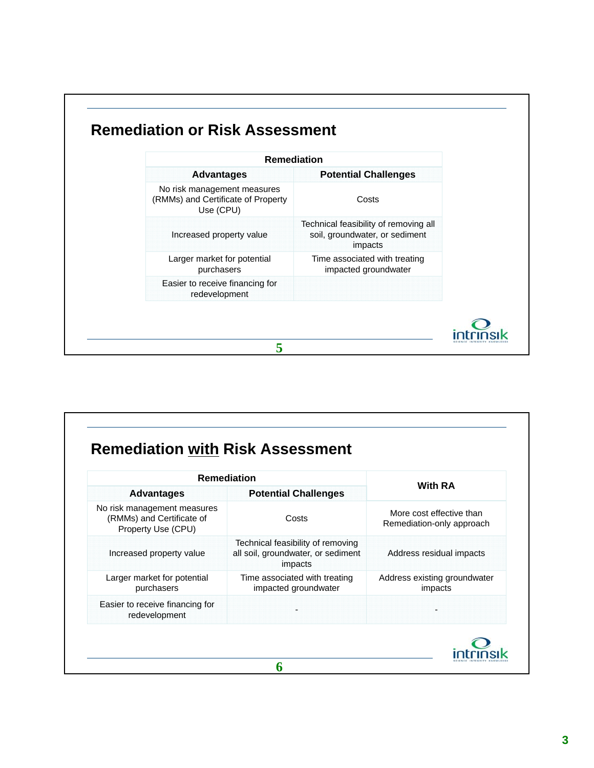| <b>Remediation</b>                                                             |                                                                                    |  |
|--------------------------------------------------------------------------------|------------------------------------------------------------------------------------|--|
| <b>Advantages</b>                                                              | <b>Potential Challenges</b>                                                        |  |
| No risk management measures<br>(RMMs) and Certificate of Property<br>Use (CPU) | Costs                                                                              |  |
| Increased property value                                                       | Technical feasibility of removing all<br>soil, groundwater, or sediment<br>impacts |  |
| Larger market for potential<br>purchasers                                      | Time associated with treating<br>impacted groundwater                              |  |
| Easier to receive financing for<br>redevelopment                               |                                                                                    |  |

| <b>Remediation</b>                                                             |                                                                                    |                                                       |  |
|--------------------------------------------------------------------------------|------------------------------------------------------------------------------------|-------------------------------------------------------|--|
| <b>Advantages</b>                                                              | <b>Potential Challenges</b>                                                        | <b>With RA</b>                                        |  |
| No risk management measures<br>(RMMs) and Certificate of<br>Property Use (CPU) | Costs                                                                              | More cost effective than<br>Remediation-only approach |  |
| Increased property value                                                       | Technical feasibility of removing<br>all soil, groundwater, or sediment<br>impacts | Address residual impacts                              |  |
| Larger market for potential<br>purchasers                                      | Time associated with treating<br>impacted groundwater                              | Address existing groundwater<br>impacts               |  |
| Easier to receive financing for<br>redevelopment                               |                                                                                    |                                                       |  |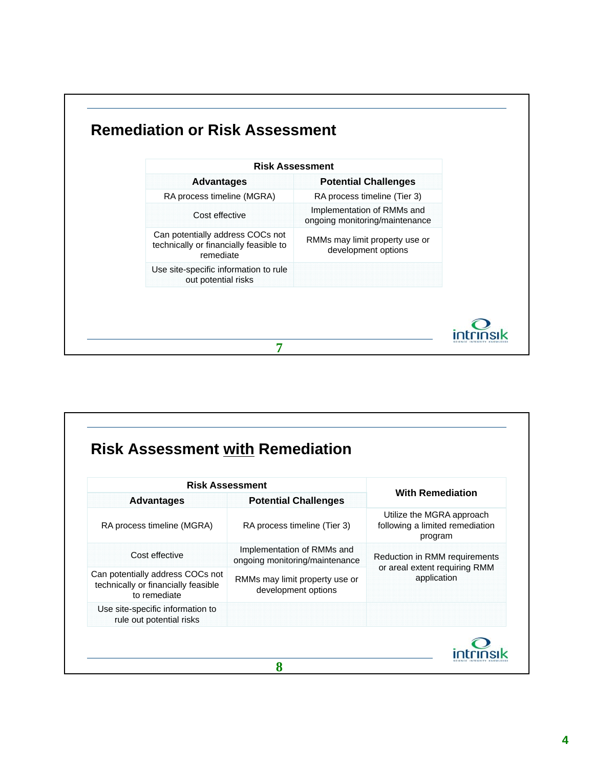| <b>Risk Assessment</b>                                                                  |                                                              |
|-----------------------------------------------------------------------------------------|--------------------------------------------------------------|
| <b>Advantages</b>                                                                       | <b>Potential Challenges</b>                                  |
| RA process timeline (MGRA)                                                              | RA process timeline (Tier 3)                                 |
| Cost effective                                                                          | Implementation of RMMs and<br>ongoing monitoring/maintenance |
| Can potentially address COCs not<br>technically or financially feasible to<br>remediate | RMMs may limit property use or<br>development options        |
| Use site-specific information to rule<br>out potential risks                            |                                                              |

| <b>Risk Assessment</b>                                                                  |                                                              |                                                                         |  |
|-----------------------------------------------------------------------------------------|--------------------------------------------------------------|-------------------------------------------------------------------------|--|
| <b>Advantages</b>                                                                       | <b>Potential Challenges</b>                                  | <b>With Remediation</b>                                                 |  |
| RA process timeline (MGRA)                                                              | RA process timeline (Tier 3)                                 | Utilize the MGRA approach<br>following a limited remediation<br>program |  |
| Cost effective                                                                          | Implementation of RMMs and<br>ongoing monitoring/maintenance | Reduction in RMM requirements                                           |  |
| Can potentially address COCs not<br>technically or financially feasible<br>to remediate | RMMs may limit property use or<br>development options        | or areal extent requiring RMM<br>application                            |  |
| Use site-specific information to<br>rule out potential risks                            |                                                              |                                                                         |  |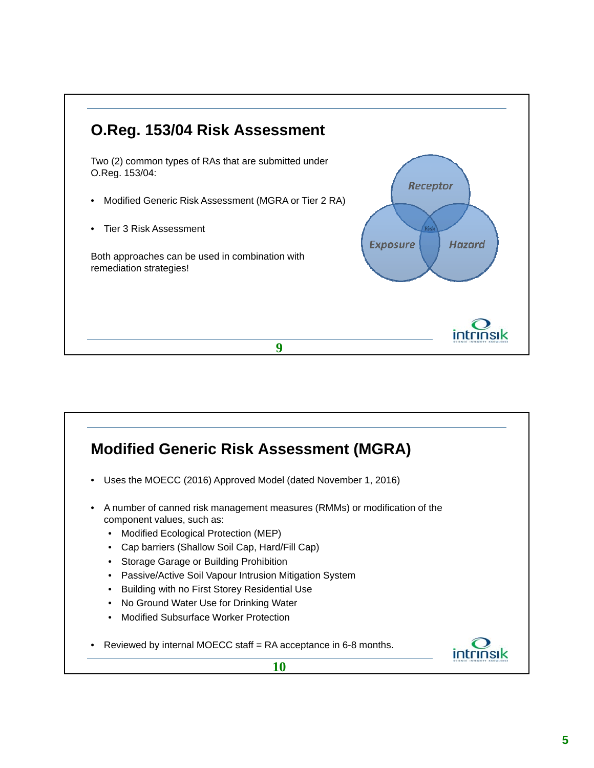

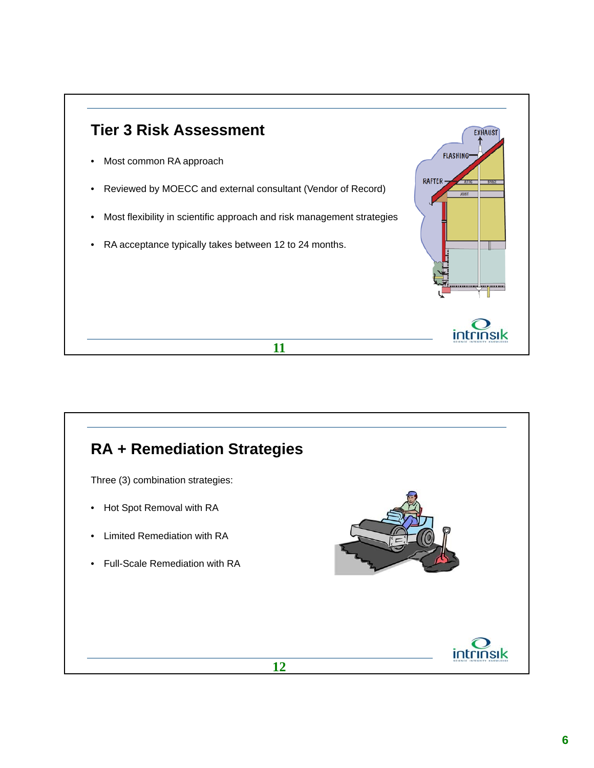

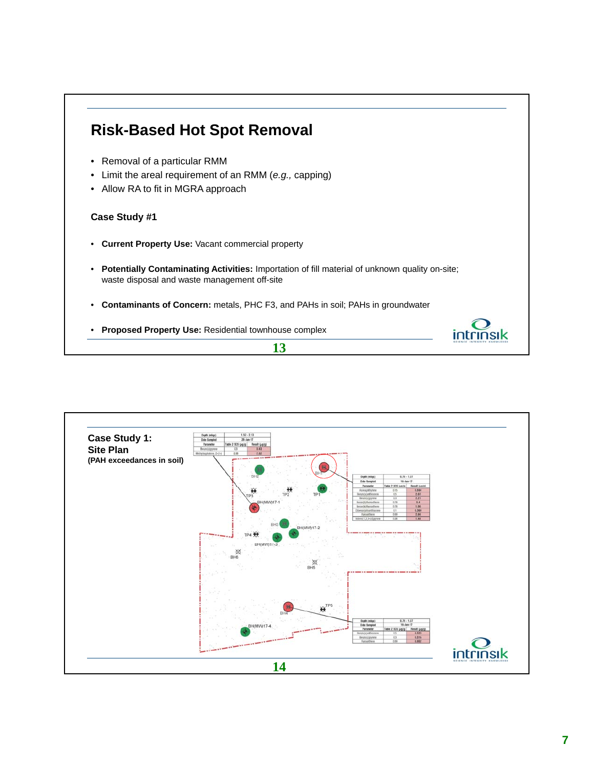

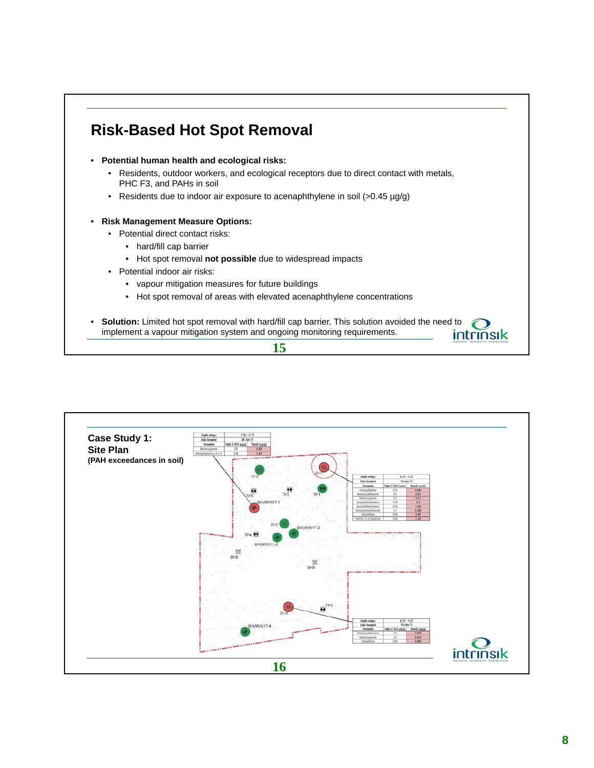## **Risk-Based Hot Spot Removal**

- **Potential human health and ecological risks:**
	- Residents, outdoor workers, and ecological receptors due to direct contact with metals, PHC F3, and PAHs in soil
	- Residents due to indoor air exposure to acenaphthylene in soil (>0.45 µg/g)
- **Risk Management Measure Options:**
	- Potential direct contact risks:
		- hard/fill cap barrier
		- Hot spot removal **not possible** due to widespread impacts
	- Potential indoor air risks:
		- vapour mitigation measures for future buildings
		- Hot spot removal of areas with elevated acenaphthylene concentrations
- Solution: Limited hot spot removal with hard/fill cap barrier. This solution avoided the need to implement a vapour mitigation system and ongoing monitoring requirements.





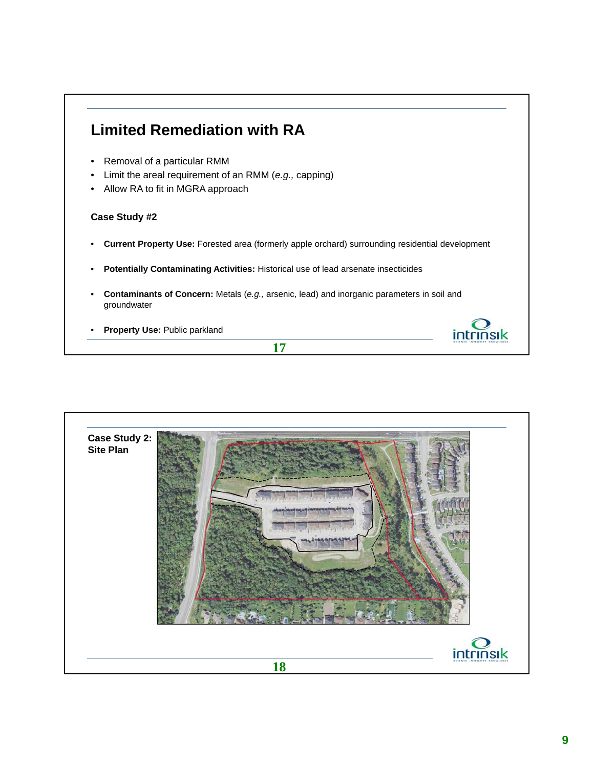### **Limited Remediation with RA**

- Removal of a particular RMM
- Limit the areal requirement of an RMM (*e.g.,* capping)
- Allow RA to fit in MGRA approach

#### **Case Study #2**

- **Current Property Use:** Forested area (formerly apple orchard) surrounding residential development
- **Potentially Contaminating Activities:** Historical use of lead arsenate insecticides
- **Contaminants of Concern:** Metals (*e.g.,* arsenic, lead) and inorganic parameters in soil and groundwater

**17**

• **Property Use:** Public parkland



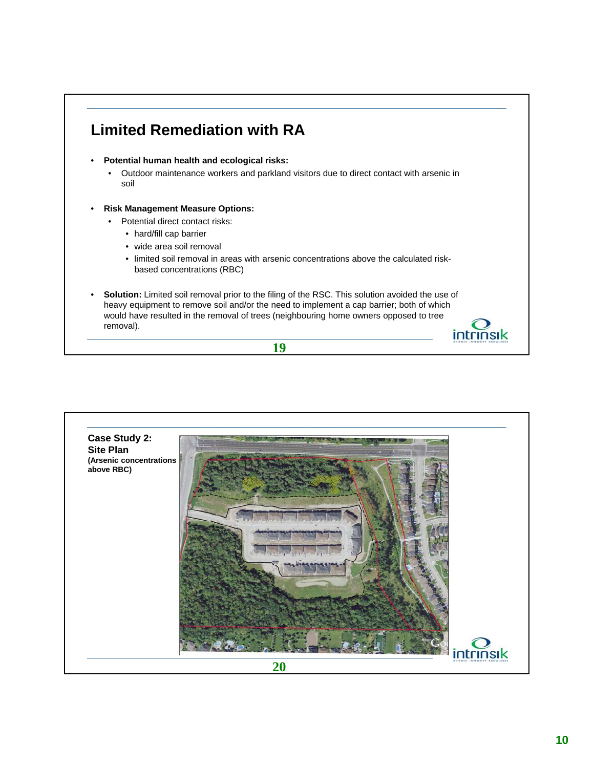## **Limited Remediation with RA**

- **Potential human health and ecological risks:**
	- Outdoor maintenance workers and parkland visitors due to direct contact with arsenic in soil
- **Risk Management Measure Options:**
	- Potential direct contact risks:
		- hard/fill cap barrier
		- wide area soil removal
		- limited soil removal in areas with arsenic concentrations above the calculated riskbased concentrations (RBC)
- **Solution:** Limited soil removal prior to the filing of the RSC. This solution avoided the use of heavy equipment to remove soil and/or the need to implement a cap barrier; both of which would have resulted in the removal of trees (neighbouring home owners opposed to tree removal).





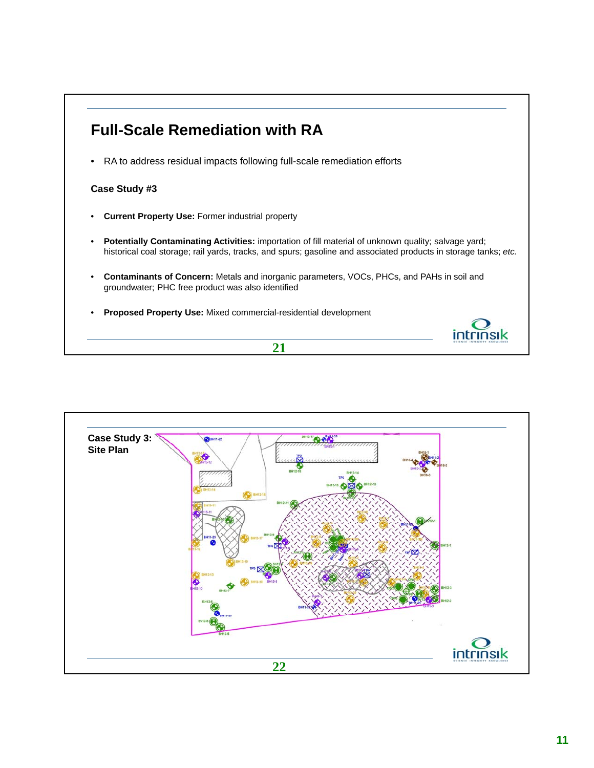

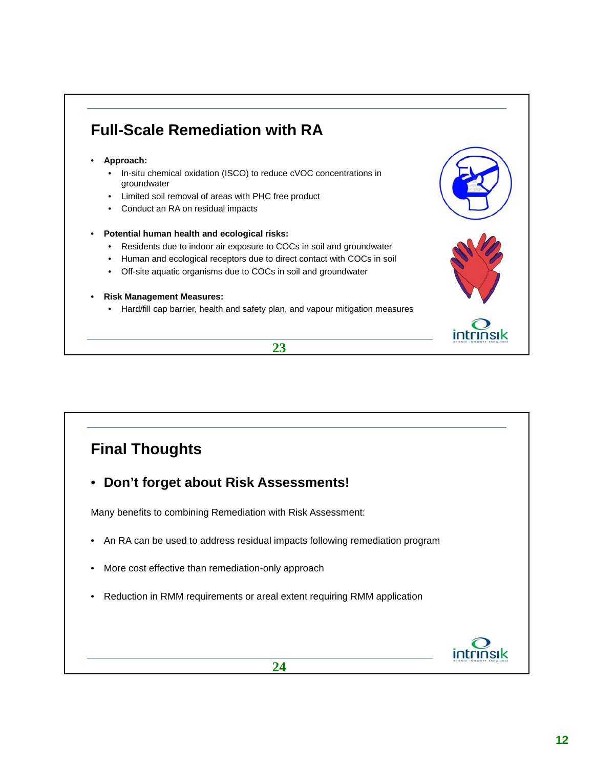## **Full-Scale Remediation with RA**

- **Approach:**
	- In-situ chemical oxidation (ISCO) to reduce cVOC concentrations in groundwater
	- Limited soil removal of areas with PHC free product
	- Conduct an RA on residual impacts

#### • **Potential human health and ecological risks:**

- Residents due to indoor air exposure to COCs in soil and groundwater
- Human and ecological receptors due to direct contact with COCs in soil
- Off-site aquatic organisms due to COCs in soil and groundwater
- **Risk Management Measures:**
	- Hard/fill cap barrier, health and safety plan, and vapour mitigation measures





## **Final Thoughts**

• **Don't forget about Risk Assessments!**

Many benefits to combining Remediation with Risk Assessment:

- An RA can be used to address residual impacts following remediation program
- More cost effective than remediation-only approach
- Reduction in RMM requirements or areal extent requiring RMM application